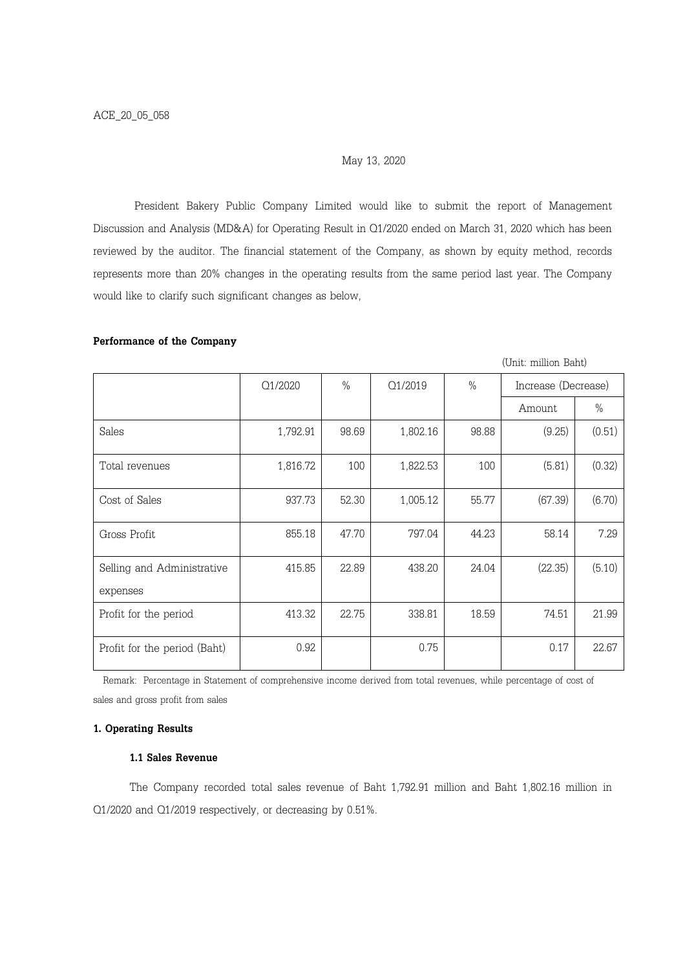### May 13, 2020

President Bakery Public Company Limited would like to submit the report of Management Discussion and Analysis (MD&A) for Operating Result in Q1/2020 ended on March 31, 2020 which has been reviewed by the auditor. The financial statement of the Company, as shown by equity method, records represents more than 20% changes in the operating results from the same period last year. The Company would like to clarify such significant changes as below,

# Performance of the Company

(Unit: million Baht)

|                                        | Q1/2020  | $\%$  | Q1/2019  | $\%$  | Increase (Decrease) |        |
|----------------------------------------|----------|-------|----------|-------|---------------------|--------|
|                                        |          |       |          |       | Amount              | $\%$   |
| Sales                                  | 1,792.91 | 98.69 | 1,802.16 | 98.88 | (9.25)              | (0.51) |
| Total revenues                         | 1,816.72 | 100   | 1,822.53 | 100   | (5.81)              | (0.32) |
| Cost of Sales                          | 937.73   | 52.30 | 1,005.12 | 55.77 | (67.39)             | (6.70) |
| Gross Profit                           | 855.18   | 47.70 | 797.04   | 44.23 | 58.14               | 7.29   |
| Selling and Administrative<br>expenses | 415.85   | 22.89 | 438.20   | 24.04 | (22.35)             | (5.10) |
| Profit for the period                  | 413.32   | 22.75 | 338.81   | 18.59 | 74.51               | 21.99  |
| Profit for the period (Baht)           | 0.92     |       | 0.75     |       | 0.17                | 22.67  |

 Remark: Percentage in Statement of comprehensive income derived from total revenues, while percentage of cost of sales and gross profit from sales

### 1. Operating Results

### 1.1 Sales Revenue

The Company recorded total sales revenue of Baht 1,792.91 million and Baht 1,802.16 million in Q1/2020 and Q1/2019 respectively, or decreasing by 0.51%.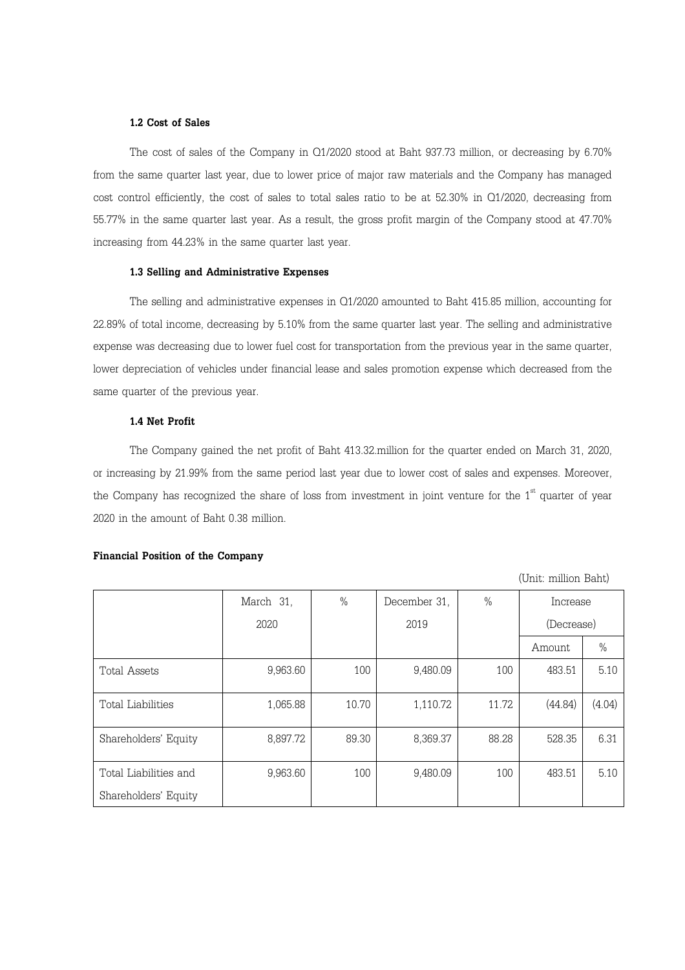#### 1.2 Cost of Sales

The cost of sales of the Company in Q1/2020 stood at Baht 937.73 million, or decreasing by 6.70% from the same quarter last year, due to lower price of major raw materials and the Company has managed cost control efficiently, the cost of sales to total sales ratio to be at 52.30% in Q1/2020, decreasing from 55.77% in the same quarter last year. As a result, the gross profit margin of the Company stood at 47.70% increasing from 44.23% in the same quarter last year.

### 1.3 Selling and Administrative Expenses

The selling and administrative expenses in Q1/2020 amounted to Baht 415.85 million, accounting for 22.89% of total income, decreasing by 5.10% from the same quarter last year. The selling and administrative expense was decreasing due to lower fuel cost for transportation from the previous year in the same quarter, lower depreciation of vehicles under financial lease and sales promotion expense which decreased from the same quarter of the previous year.

# 1.4 Net Profit

The Company gained the net profit of Baht 413.32.million for the quarter ended on March 31, 2020, or increasing by 21.99% from the same period last year due to lower cost of sales and expenses. Moreover, the Company has recognized the share of loss from investment in joint venture for the  $1<sup>st</sup>$  quarter of year 2020 in the amount of Baht 0.38 million.

#### Financial Position of the Company

(Unit: million Baht)

|                       | March 31, | $\frac{0}{0}$ | December 31, | $\%$  | Increase   |        |
|-----------------------|-----------|---------------|--------------|-------|------------|--------|
|                       | 2020      |               | 2019         |       | (Decrease) |        |
|                       |           |               |              |       | Amount     | $\%$   |
| <b>Total Assets</b>   | 9,963.60  | 100           | 9,480.09     | 100   | 483.51     | 5.10   |
| Total Liabilities     | 1,065.88  | 10.70         | 1,110.72     | 11.72 | (44.84)    | (4.04) |
| Shareholders' Equity  | 8,897.72  | 89.30         | 8,369.37     | 88.28 | 528.35     | 6.31   |
| Total Liabilities and | 9,963.60  | 100           | 9,480.09     | 100   | 483.51     | 5.10   |
| Shareholders' Equity  |           |               |              |       |            |        |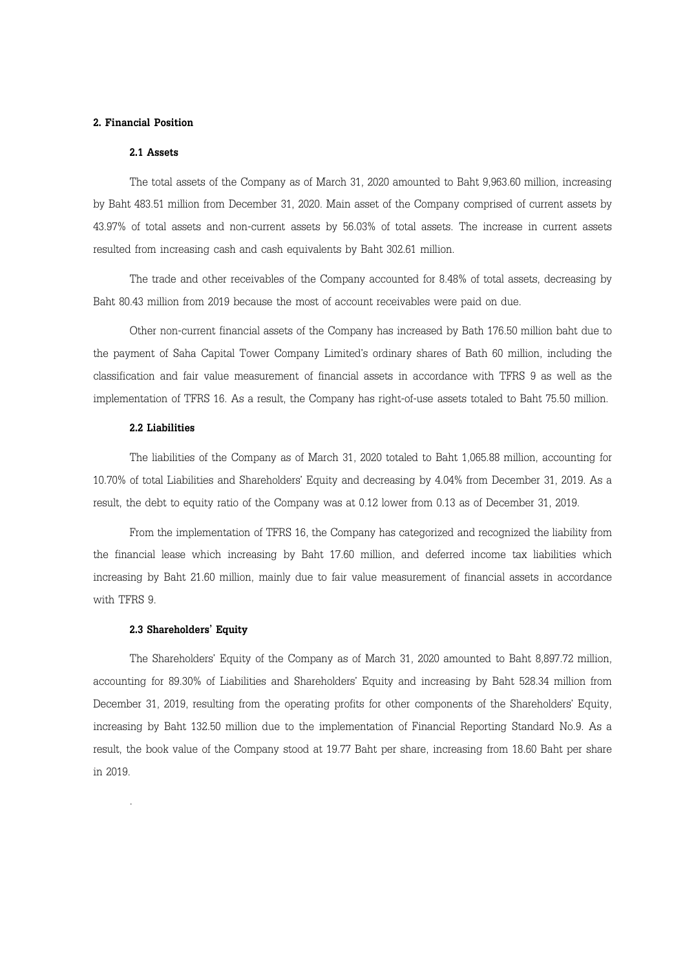# 2. Financial Position

### 2.1 Assets

The total assets of the Company as of March 31, 2020 amounted to Baht 9,963.60 million, increasing by Baht 483.51 million from December 31, 2020. Main asset of the Company comprised of current assets by 43.97% of total assets and non-current assets by 56.03% of total assets. The increase in current assets resulted from increasing cash and cash equivalents by Baht 302.61 million.

The trade and other receivables of the Company accounted for 8.48% of total assets, decreasing by Baht 80.43 million from 2019 because the most of account receivables were paid on due.

Other non-current financial assets of the Company has increased by Bath 176.50 million baht due to the payment of Saha Capital Tower Company Limited's ordinary shares of Bath 60 million, including the classification and fair value measurement of financial assets in accordance with TFRS 9 as well as the implementation of TFRS 16. As a result, the Company has right-of-use assets totaled to Baht 75.50 million.

# 2.2 Liabilities

The liabilities of the Company as of March 31, 2020 totaled to Baht 1,065.88 million, accounting for 10.70% of total Liabilities and Shareholders' Equity and decreasing by 4.04% from December 31, 2019. As a result, the debt to equity ratio of the Company was at 0.12 lower from 0.13 as of December 31, 2019.

From the implementation of TFRS 16, the Company has categorized and recognized the liability from the financial lease which increasing by Baht 17.60 million, and deferred income tax liabilities which increasing by Baht 21.60 million, mainly due to fair value measurement of financial assets in accordance with TFRS 9.

### 2.3 Shareholders' Equity

.

The Shareholders' Equity of the Company as of March 31, 2020 amounted to Baht 8,897.72 million, accounting for 89.30% of Liabilities and Shareholders' Equity and increasing by Baht 528.34 million from December 31, 2019, resulting from the operating profits for other components of the Shareholders' Equity, increasing by Baht 132.50 million due to the implementation of Financial Reporting Standard No.9. As a result, the book value of the Company stood at 19.77 Baht per share, increasing from 18.60 Baht per share in 2019.